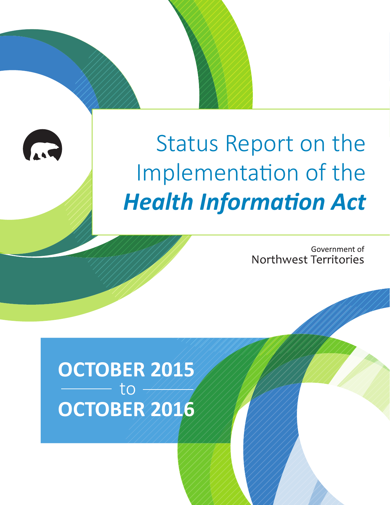

# Status Report on the Implementation of the *Health Information Act*

Government of Northwest Territories

**OCTOBER 2015 OCTOBER 2016** to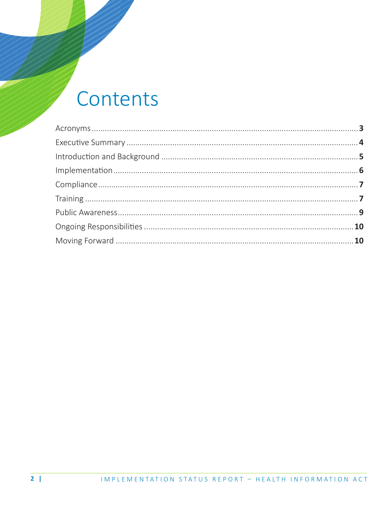### Contents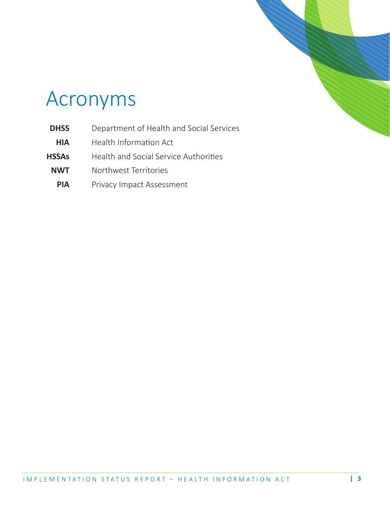

### Acronyms

- **DHSS** Department of Health and Social Services
- **HIA** Health Information Act
- **HSSAs** Health and Social Service Authorities
- **NWT** Northwest Territories
- **PIA** Privacy Impact Assessment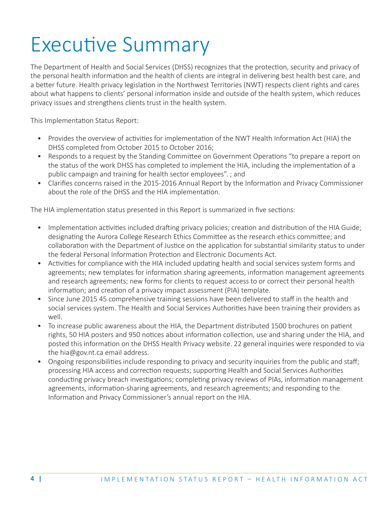## Executive Summary

The Department of Health and Social Services (DHSS) recognizes that the protection, security and privacy of the personal health information and the health of clients are integral in delivering best health best care, and a better future. Health privacy legislation in the Northwest Territories (NWT) respects client rights and cares about what happens to clients' personal information inside and outside of the health system, which reduces privacy issues and strengthens clients trust in the health system.

This Implementation Status Report:

- Provides the overview of activities for implementation of the NWT Health Information Act (HIA) the DHSS completed from October 2015 to October 2016;
- Responds to a request by the Standing Committee on Government Operations "to prepare a report on the status of the work DHSS has completed to implement the HIA, including the implementation of a public campaign and training for health sector employees". ; and
- Clarifies concerns raised in the 2015-2016 Annual Report by the Information and Privacy Commissioner about the role of the DHSS and the HIA implementation.

The HIA implementation status presented in this Report is summarized in five sections:

- Implementation activities included drafting privacy policies; creation and distribution of the HIA Guide; designating the Aurora College Research Ethics Committee as the research ethics committee; and collaboration with the Department of Justice on the application for substantial similarity status to under the federal Personal Information Protection and Electronic Documents Act.
- Activities for compliance with the HIA included updating health and social services system forms and agreements; new templates for information sharing agreements, information management agreements and research agreements; new forms for clients to request access to or correct their personal health information; and creation of a privacy impact assessment (PIA) template.
- Since June 2015 45 comprehensive training sessions have been delivered to staff in the health and social services system. The Health and Social Services Authorities have been training their providers as well.
- To increase public awareness about the HIA, the Department distributed 1500 brochures on patient rights, 50 HIA posters and 950 notices about information collection, use and sharing under the HIA, and posted this information on the DHSS Health Privacy website. 22 general inquiries were responded to via the hia@gov.nt.ca email address.
- Ongoing responsibilities include responding to privacy and security inquiries from the public and staff; processing HIA access and correction requests; supporting Health and Social Services Authorities conducting privacy breach investigations; completing privacy reviews of PIAs, information management agreements, information-sharing agreements, and research agreements; and responding to the Information and Privacy Commissioner's annual report on the HIA.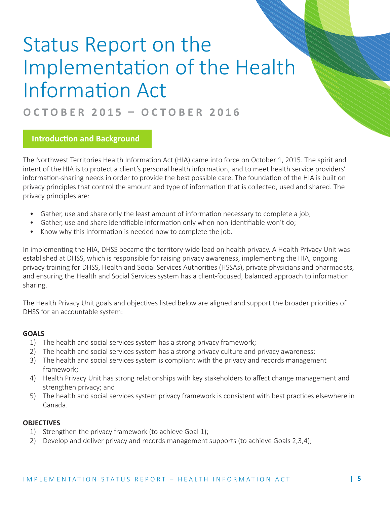## Status Report on the Implementation of the Health Information Act

### **OCTOBER 2015 – OCTOBER 2016**

#### **Introduction and Background**

The Northwest Territories Health Information Act (HIA) came into force on October 1, 2015. The spirit and intent of the HIA is to protect a client's personal health information, and to meet health service providers' information-sharing needs in order to provide the best possible care. The foundation of the HIA is built on privacy principles that control the amount and type of information that is collected, used and shared. The privacy principles are:

- Gather, use and share only the least amount of information necessary to complete a job;
- Gather, use and share identifiable information only when non-identifiable won't do;
- Know why this information is needed now to complete the job.

In implementing the HIA, DHSS became the territory-wide lead on health privacy. A Health Privacy Unit was established at DHSS, which is responsible for raising privacy awareness, implementing the HIA, ongoing privacy training for DHSS, Health and Social Services Authorities (HSSAs), private physicians and pharmacists, and ensuring the Health and Social Services system has a client-focused, balanced approach to information sharing.

The Health Privacy Unit goals and objectives listed below are aligned and support the broader priorities of DHSS for an accountable system:

#### **GOALS**

- 1) The health and social services system has a strong privacy framework;
- 2) The health and social services system has a strong privacy culture and privacy awareness;
- 3) The health and social services system is compliant with the privacy and records management framework;
- 4) Health Privacy Unit has strong relationships with key stakeholders to affect change management and strengthen privacy; and
- 5) The health and social services system privacy framework is consistent with best practices elsewhere in Canada.

#### **OBJECTIVES**

- 1) Strengthen the privacy framework (to achieve Goal 1);
- 2) Develop and deliver privacy and records management supports (to achieve Goals 2,3,4);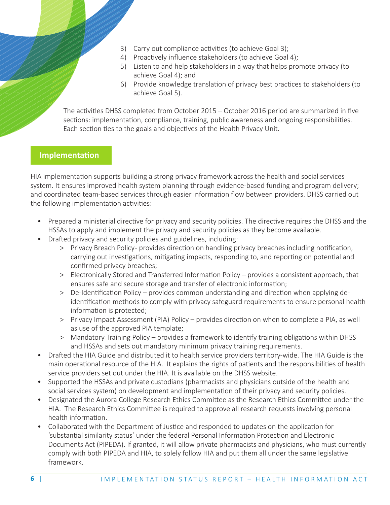- 3) Carry out compliance activities (to achieve Goal 3);
- 4) Proactively influence stakeholders (to achieve Goal 4);
- 5) Listen to and help stakeholders in a way that helps promote privacy (to achieve Goal 4); and
- 6) Provide knowledge translation of privacy best practices to stakeholders (to achieve Goal 5).

 The activities DHSS completed from October 2015 – October 2016 period are summarized in five sections: implementation, compliance, training, public awareness and ongoing responsibilities. Each section ties to the goals and objectives of the Health Privacy Unit.

#### **Implementation**

HIA implementation supports building a strong privacy framework across the health and social services system. It ensures improved health system planning through evidence-based funding and program delivery; and coordinated team-based services through easier information flow between providers. DHSS carried out the following implementation activities:

- Prepared a ministerial directive for privacy and security policies. The directive requires the DHSS and the HSSAs to apply and implement the privacy and security policies as they become available.
- Drafted privacy and security policies and guidelines, including:
	- > Privacy Breach Policy provides direction on handling privacy breaches including notification, carrying out investigations, mitigating impacts, responding to, and reporting on potential and confirmed privacy breaches;
	- > Electronically Stored and Transferred Information Policy provides a consistent approach, that ensures safe and secure storage and transfer of electronic information;
	- > De-Identification Policy provides common understanding and direction when applying deidentification methods to comply with privacy safeguard requirements to ensure personal health information is protected;
	- > Privacy Impact Assessment (PIA) Policy provides direction on when to complete a PIA, as well as use of the approved PIA template;
	- > Mandatory Training Policy provides a framework to identify training obligations within DHSS and HSSAs and sets out mandatory minimum privacy training requirements.
- Drafted the HIA Guide and distributed it to health service providers territory-wide. The HIA Guide is the main operational resource of the HIA. It explains the rights of patients and the responsibilities of health service providers set out under the HIA. It is available on the DHSS website.
- Supported the HSSAs and private custodians (pharmacists and physicians outside of the health and social services system) on development and implementation of their privacy and security policies.
- Designated the Aurora College Research Ethics Committee as the Research Ethics Committee under the HIA. The Research Ethics Committee is required to approve all research requests involving personal health information.
- Collaborated with the Department of Justice and responded to updates on the application for 'substantial similarity status' under the federal Personal Information Protection and Electronic Documents Act (PIPEDA). If granted, it will allow private pharmacists and physicians, who must currently comply with both PIPEDA and HIA, to solely follow HIA and put them all under the same legislative framework.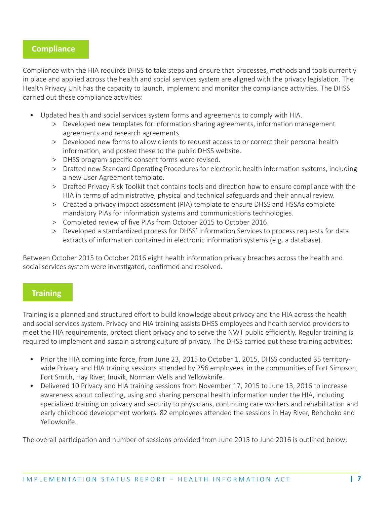#### **Compliance**

Compliance with the HIA requires DHSS to take steps and ensure that processes, methods and tools currently in place and applied across the health and social services system are aligned with the privacy legislation. The Health Privacy Unit has the capacity to launch, implement and monitor the compliance activities. The DHSS carried out these compliance activities:

- Updated health and social services system forms and agreements to comply with HIA.
	- > Developed new templates for information sharing agreements, information management agreements and research agreements.
	- > Developed new forms to allow clients to request access to or correct their personal health information, and posted these to the public DHSS website.
	- > DHSS program-specific consent forms were revised.
	- > Drafted new Standard Operating Procedures for electronic health information systems, including a new User Agreement template.
	- > Drafted Privacy Risk Toolkit that contains tools and direction how to ensure compliance with the HIA in terms of administrative, physical and technical safeguards and their annual review.
	- > Created a privacy impact assessment (PIA) template to ensure DHSS and HSSAs complete mandatory PIAs for information systems and communications technologies.
	- > Completed review of five PIAs from October 2015 to October 2016.
	- > Developed a standardized process for DHSS' Information Services to process requests for data extracts of information contained in electronic information systems (e.g. a database).

Between October 2015 to October 2016 eight health information privacy breaches across the health and social services system were investigated, confirmed and resolved.

#### **Training**

Training is a planned and structured effort to build knowledge about privacy and the HIA across the health and social services system. Privacy and HIA training assists DHSS employees and health service providers to meet the HIA requirements, protect client privacy and to serve the NWT public efficiently. Regular training is required to implement and sustain a strong culture of privacy. The DHSS carried out these training activities:

- Prior the HIA coming into force, from June 23, 2015 to October 1, 2015, DHSS conducted 35 territorywide Privacy and HIA training sessions attended by 256 employees in the communities of Fort Simpson, Fort Smith, Hay River, Inuvik, Norman Wells and Yellowknife.
- Delivered 10 Privacy and HIA training sessions from November 17, 2015 to June 13, 2016 to increase awareness about collecting, using and sharing personal health information under the HIA, including specialized training on privacy and security to physicians, continuing care workers and rehabilitation and early childhood development workers. 82 employees attended the sessions in Hay River, Behchoko and Yellowknife.

The overall participation and number of sessions provided from June 2015 to June 2016 is outlined below: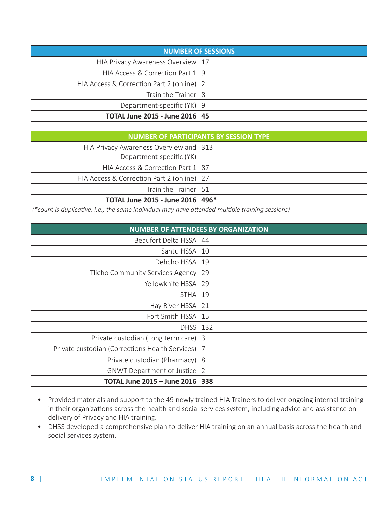| <b>NUMBER OF SESSIONS</b>                 |  |
|-------------------------------------------|--|
| HIA Privacy Awareness Overview   17       |  |
| HIA Access & Correction Part 1 9          |  |
| HIA Access & Correction Part 2 (online) 2 |  |
| Train the Trainer   8                     |  |
| Department-specific $(YK)$ 9              |  |
| <b>TOTAL June 2015 - June 2016   45</b>   |  |

| <b>NUMBER OF PARTICIPANTS BY SESSION TYPE</b>                      |  |  |
|--------------------------------------------------------------------|--|--|
| HIA Privacy Awareness Overview and 313<br>Department-specific (YK) |  |  |
| HIA Access & Correction Part 1 87                                  |  |  |
| HIA Access & Correction Part 2 (online)   27                       |  |  |
| Train the Trainer   51                                             |  |  |
| TOTAL June 2015 - June 2016   496*                                 |  |  |

 *(\*count is duplicative, i.e., the same individual may have attended multiple training sessions)*

| <b>NUMBER OF ATTENDEES BY ORGANIZATION</b>      |                |  |
|-------------------------------------------------|----------------|--|
| Beaufort Delta HSSA                             | 44             |  |
| Sahtu HSSA                                      | 10             |  |
| Dehcho HSSA                                     | 19             |  |
| Tlicho Community Services Agency                | 29             |  |
| Yellowknife HSSA                                | 29             |  |
| <b>STHA</b>                                     | 19             |  |
| Hay River HSSA                                  | 21             |  |
| Fort Smith HSSA                                 | 15             |  |
| <b>DHSS</b>                                     | 132            |  |
| Private custodian (Long term care)              | 3              |  |
| Private custodian (Corrections Health Services) | $\overline{7}$ |  |
| Private custodian (Pharmacy)                    | 8              |  |
| <b>GNWT Department of Justice</b>               | $\overline{2}$ |  |
| <b>TOTAL June 2015 - June 2016</b>              | 338            |  |

- Provided materials and support to the 49 newly trained HIA Trainers to deliver ongoing internal training in their organizations across the health and social services system, including advice and assistance on delivery of Privacy and HIA training.
- DHSS developed a comprehensive plan to deliver HIA training on an annual basis across the health and social services system.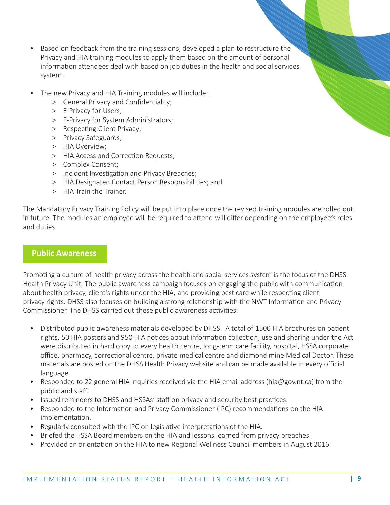- Based on feedback from the training sessions, developed a plan to restructure the Privacy and HIA training modules to apply them based on the amount of personal information attendees deal with based on job duties in the health and social services system.
- The new Privacy and HIA Training modules will include:
	- > General Privacy and Confidentiality;
	- > E-Privacy for Users;
	- > E-Privacy for System Administrators;
	- > Respecting Client Privacy;
	- > Privacy Safeguards;
	- > HIA Overview;
	- > HIA Access and Correction Requests;
	- > Complex Consent;
	- > Incident Investigation and Privacy Breaches;
	- > HIA Designated Contact Person Responsibilities; and
	- > HIA Train the Trainer.

The Mandatory Privacy Training Policy will be put into place once the revised training modules are rolled out in future. The modules an employee will be required to attend will differ depending on the employee's roles and duties.

#### **Public Awareness**

Promoting a culture of health privacy across the health and social services system is the focus of the DHSS Health Privacy Unit. The public awareness campaign focuses on engaging the public with communication about health privacy, client's rights under the HIA, and providing best care while respecting client privacy rights. DHSS also focuses on building a strong relationship with the NWT Information and Privacy Commissioner. The DHSS carried out these public awareness activities:

- Distributed public awareness materials developed by DHSS. A total of 1500 HIA brochures on patient rights, 50 HIA posters and 950 HIA notices about information collection, use and sharing under the Act were distributed in hard copy to every health centre, long-term care facility, hospital, HSSA corporate office, pharmacy, correctional centre, private medical centre and diamond mine Medical Doctor. These materials are posted on the DHSS Health Privacy website and can be made available in every official language.
- Responded to 22 general HIA inquiries received via the HIA email address (hia@gov.nt.ca) from the public and staff.
- Issued reminders to DHSS and HSSAs' staff on privacy and security best practices.
- Responded to the Information and Privacy Commissioner (IPC) recommendations on the HIA implementation.
- Regularly consulted with the IPC on legislative interpretations of the HIA.
- Briefed the HSSA Board members on the HIA and lessons learned from privacy breaches.
- Provided an orientation on the HIA to new Regional Wellness Council members in August 2016.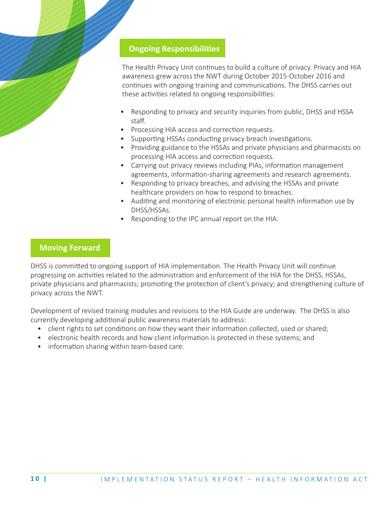#### **Ongoing Responsibilities**

 The Health Privacy Unit continues to build a culture of privacy. Privacy and HIA awareness grew across the NWT during October 2015-October 2016 and continues with ongoing training and communications. The DHSS carries out these activities related to ongoing responsibilities:

- Responding to privacy and security inquiries from public, DHSS and HSSA staff.
- Processing HIA access and correction requests.
- Supporting HSSAs conducting privacy breach investigations.
- Providing guidance to the HSSAs and private physicians and pharmacists on processing HIA access and correction requests.
- Carrying out privacy reviews including PIAs, information management agreements, information-sharing agreements and research agreements.
- Responding to privacy breaches, and advising the HSSAs and private healthcare providers on how to respond to breaches.
- Auditing and monitoring of electronic personal health information use by DHSS/HSSAs.
- Responding to the IPC annual report on the HIA.

#### **Moving Forward**

DHSS is committed to ongoing support of HIA implementation. The Health Privacy Unit will continue progressing on activities related to the administration and enforcement of the HIA for the DHSS, HSSAs, private physicians and pharmacists; promoting the protection of client's privacy; and strengthening culture of privacy across the NWT.

Development of revised training modules and revisions to the HIA Guide are underway. The DHSS is also currently developing additional public awareness materials to address:

- client rights to set conditions on how they want their information collected, used or shared;
- electronic health records and how client information is protected in these systems; and
- information sharing within team-based care.